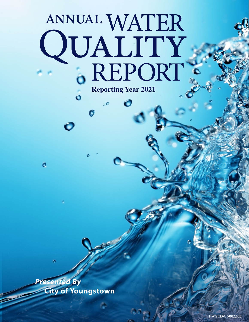# ANNUAL WATER QUALITY .. **Reporting Year 2021**

 $\bullet$ 

*Presented By* **City of Youngstown**

 $\ddot{\mathbf{o}}$ 

Ó

Ó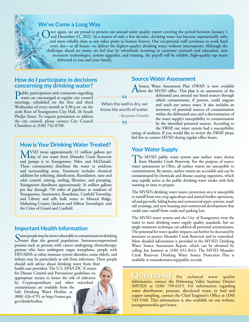

# **We've Come a Long Way**

Once again, we are proud to present our annual water quality report covering the period between January 1<br>and December 31, 2021. In a matter of only a few decades, drinking water has become exponentially safer<br>and many arb and more reliable than at any other point in human history. Our exceptional staff continues to work hard every day—at all hours—to deliver the highest-quality drinking water without interruption. Although the challenges ahead are many, we feel that by relentlessly investing in customer outreach and education, new treatment technologies, system upgrades, and training, the payoff will be reliable, high-quality tap water delivered to you and your family.

### **How do I participate in decisions concerning my drinking water?**

Public participation and comments regarding water are encouraged at regular city council meetings, scheduled on the first and third Wednesday of every month at 5:30 p.m. on the sixth floor of Youngstown City Hall, 26 South Phelps Street. To request permission to address the city council, please contact City Council Chambers at (330) 742-8708.

# **How is Your Drinking Water Treated?**

MVSD treats approximately 21 million gallons per<br>day of raw water from Meander Creek Reservoir and pumps it to Youngstown, Niles, and McDonald. These communities distribute the water to residents and surrounding areas. Treatment includes chemical addition for softening, disinfection, fluoridation, taste and odor control, mixing, settling, filtration, and pumping. Youngstown distributes approximately 16 million gallons per day through 750 miles of pipelines to residents of Youngstown, Austintown, Boardman, Canfield Township, and Liberty and sells bulk water to Mineral Ridge, Mahoning County (Jackson and Milton Townships), and the Cities of Girard and Canfield.

## **Important Health Information**

Some people may be more vulnerable to contaminants in drinking<br>water than the general population. Immunocompromised persons such as persons with cancer undergoing chemotherapy, persons who have undergone organ transplants, people with HIV/AIDS or other immune system disorders, some elderly, and infants may be particularly at risk from infections. These people

should seek advice about drinking water from their health care providers. The U.S. EPA/CDC (Centers for Disease Control and Prevention) guidelines on appropriate means to lessen the risk of infection by Cryptosporidium and other microbial contaminants are available from the Safe Drinking Water Hotline at (800) 426-4791 or [http://water.epa.](http://water.epa.gov/drink/hotline) [gov/drink/hotline](http://water.epa.gov/drink/hotline).

## **Source Water Assessment**

A Source Water Assessment Plan (SWAP) is now available<br>
from the MVSD office. This plan is an assessment of the<br>
dilingual proposed in this plan is an assessment of the

**When the well is dry, we know the worth of water.**

 $66.$ 

*—Benjamin Franklin*

99

delineated area around our listed sources through which contaminants, if present, could migrate and reach our source water. It also includes an inventory of potential sources of contamination within the delineated area and a determination of the water supply's susceptibility to contamination by the identified potential sources. According to the SWAP, our water system had a susceptibility

rating of medium. If you would like to review the SWAP, please feel free to contact MVSD during regular office hours.

# **Your Water Supply**

The MVSD public water system uses surface water drawn<br>from Meander Creek Reservoir. For the purpose of source water assessments in Ohio, all surface waters are susceptible to contamination. By nature, surface waters are accessible and can be contaminated by chemicals and disease-causing organisms, which may rapidly arrive at the public drinking water intake with little warning or time to prepare.

The MVSD's drinking water source protection area is susceptible to runoff from row crop agriculture and animal feedlot operations, oil and gas wells, failing home and commercial septic systems, road/ rail crossings, and new housing and commercial development that could raise runoff from roads and parking lots.

The MVSD water system and the City of Youngstown treat the water to meet drinking water supply quality standards, but no single treatment technique can address all potential contaminants. The potential for water quality impacts can further be decreased by measures to protect Meander Creek Reservoir and its watershed. More detailed information is provided in the MVSD's Drinking Water Source Assessment Report, which can be obtained by calling Jon Jamison at (330) 652-3614. The MVSD Meander Creek Reservoir Drinking Water Source Protection Plan is available at [meanderwater.org/public-records](http://meanderwater.org/public-records).

QUESTIONS? For technical water quality information, contact the Mahoning Valley Sanitary District (MVSD) at (330) 799-6315. For information regarding water distribution, pressure, discolored water, or lead and copper sampling, contact the Chief Engineer's Office at (330) 743-5340. This information is also available on our website, [youngstownohio.gov/water](http://youngstownohio.gov/water).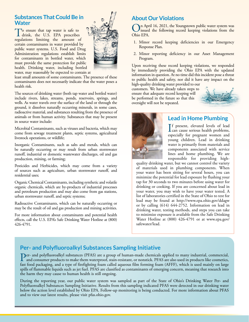# **Substances That Could Be in Water**

To ensure that tap water is safe to drink, the U.S. EPA prescribes regulations limiting the amount of certain contaminants in water provided by public water systems. U.S. Food and Drug Administration regulations establish limits for contaminants in bottled water, which must provide the same protection for public health. Drinking water, including bottled



water, may reasonably be expected to contain at

least small amounts of some contaminants. The presence of these contaminants does not necessarily indicate that the water poses a health risk.

The sources of drinking water (both tap water and bottled water) include rivers, lakes, streams, ponds, reservoirs, springs, and wells. As water travels over the surface of the land or through the ground, it dissolves naturally occurring minerals, in some cases, radioactive material, and substances resulting from the presence of animals or from human activity. Substances that may be present in source water include:

Microbial Contaminants, such as viruses and bacteria, which may come from sewage treatment plants, septic systems, agricultural livestock operations, or wildlife;

Inorganic Contaminants, such as salts and metals, which can be naturally occurring or may result from urban stormwater runoff, industrial or domestic wastewater discharges, oil and gas production, mining, or farming;

Pesticides and Herbicides, which may come from a variety of sources such as agriculture, urban stormwater runoff, and residential uses;

Organic Chemical Contaminants, including synthetic and volatile organic chemicals, which are by-products of industrial processes and petroleum production and may also come from gas stations, urban stormwater runoff, and septic systems;

Radioactive Contaminants, which can be naturally occurring or may be the result of oil and gas production and mining activities.

For more information about contaminants and potential health effects, call the U.S. EPA's Safe Drinking Water Hotline at (800) 426-4791.

# **About Our Violations**

On April 16, 2021, the Youngstown public water system was<br>Ohis EDA Ohio EPA.

- 1. Minor record keeping deficiencies in our Emergency Response Plan.
- 2. Minor reporting deficiency in our Asset Management Program.

Upon receiving these record keeping violations, we responded by immediately providing the Ohio EPA with the updated information in question. At no time did this incident pose a threat to public health and safety, nor did it have any impact on the

high-quality drinking water provided to our customers. We have already taken steps to ensure that adequate record keeping will be performed in the future so that this oversight will not be repeated.





# **Lead in Home Plumbing**

If present, elevated levels of lead<br>can cause serious health problems, can cause serious health problems, especially for pregnant women and young children. Lead in drinking water is primarily from materials and components associated with service lines and home plumbing. We are responsible for providing high-

quality drinking water, but we cannot control the variety of materials used in plumbing components. When your water has been sitting for several hours, you can minimize the potential for lead exposure by flushing your tap for 30 seconds to two minutes before using water for drinking or cooking. If you are concerned about lead in your water, you may wish to have your water tested. A list of laboratories certified in the State of Ohio to test for lead may be found at <http://www.epa.ohio.gov/ddagw> or by calling (614) 644-2752. Information on lead in drinking water, testing methods, and steps you can take to minimize exposure is available from the Safe Drinking Water Hotline at (800) 426-4791 or at [www.epa.gov/](http://www.epa.gov/safewater/lead) [safewater/lead.](http://www.epa.gov/safewater/lead)

# **Per- and Polyfluoroalkyl Substances Sampling Initiative**

**Per-** and polyfluoroalkyl substances (PFAS) are a group of human-made chemicals applied to many industrial, commercial, and consumer products to make them waterproof, stain-resistant, or nonstick. PFAS are also used in pr fast food packaging, and a type of firefighting foam called aqueous film forming foam (AFFF), which is used mainly on large spills of flammable liquids such as jet fuel. PFAS are classified as contaminants of emerging concern, meaning that research into the harm they may cause to human health is still ongoing.

During the reporting year, our public water system was sampled as part of the State of Ohio's Drinking Water Per- and Polyfluoroalkyl Substances Sampling Initiative. Results from this sampling indicated PFAS were detected in our drinking water below the action level established by Ohio EPA. Follow-up monitoring is being conducted. For more information about PFAS and to view our latest results, please visit [pfas.ohio.gov](http://pfas.ohio.gov).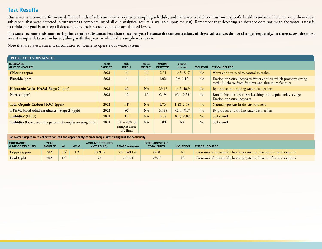# **Test Results**

Our water is monitored for many different kinds of substances on a very strict sampling schedule, and the water we deliver must meet specific health standards. Here, we only show those substances that were detected in our water (a complete list of all our analytical results is available upon request). Remember that detecting a substance does not mean the water is unsafe to drink; our goal is to keep all detects below their respective maximum allowed levels.

The state recommends monitoring for certain substances less than once per year because the concentrations of these substances do not change frequently. In these cases, the most **recent sample data are included, along with the year in which the sample was taken.**

Note that we have a current, unconditioned license to operate our water system.

| <b>REGULATED SUBSTANCES</b>                                 |                               |                                                     |                        |                                  |                             |                  |                                                                                                                              |
|-------------------------------------------------------------|-------------------------------|-----------------------------------------------------|------------------------|----------------------------------|-----------------------------|------------------|------------------------------------------------------------------------------------------------------------------------------|
| <b>SUBSTANCE</b><br>(UNIT OF MEASURE)                       | <b>YEAR</b><br><b>SAMPLED</b> | <b>MCL</b><br>[MRDL]                                | <b>MCLG</b><br>[MRDLG] | <b>AMOUNT</b><br><b>DETECTED</b> | <b>RANGE</b><br>LOW-HIGH    | <b>VIOLATION</b> | <b>TYPICAL SOURCE</b>                                                                                                        |
| <b>Chlorine</b> (ppm)                                       | 2021                          | $[4]$                                               | $[4]$                  | 2.01                             | $1.43 - 2.17$               | No               | Water additive used to control microbes                                                                                      |
| Fluoride (ppm)                                              | 2021                          | $\overline{4}$                                      | 4                      | 1.02 <sup>1</sup>                | $0.9 - 1.12$ <sup>1</sup>   | No               | Erosion of natural deposits; Water additive which promotes strong<br>teeth; Discharge from fertilizer and aluminum factories |
| Haloacetic Acids [HAAs]-Stage 2 <sup>2</sup> (ppb)          | 2021                          | 60                                                  | <b>NA</b>              | 29.48                            | $14.3 - 40.9$               | No               | By-product of drinking water disinfection                                                                                    |
| Nitrate (ppm)                                               | 2021                          | 10                                                  | 10                     | 0.19 <sup>1</sup>                | $< 0.1 - 0.33$ <sup>1</sup> | No               | Runoff from fertilizer use; Leaching from septic tanks, sewage;<br>Erosion of natural deposits                               |
| Total Organic Carbon [TOC] (ppm)                            | 2021                          | $TT^3$                                              | <b>NA</b>              | 1.76 <sup>1</sup>                | $1.48 - 2.45$ <sup>1</sup>  | N <sub>o</sub>   | Naturally present in the environment                                                                                         |
| TTHMs [total trihalomethanes]-Stage 2 <sup>2</sup> (ppb)    | 2021                          | 80 <sup>4</sup>                                     | <b>NA</b>              | 64.55                            | $42.4 - 91.7$               | No               | By-product of drinking water disinfection                                                                                    |
| Turbidity <sup>5</sup> (NTU)                                | 2021                          | <b>TT</b>                                           | <b>NA</b>              | 0.08                             | $0.03 - 0.08$               | No               | Soil runoff                                                                                                                  |
| Turbidity (lowest monthly percent of samples meeting limit) | 2021                          | $TT = 95\% \text{ of}$<br>samples meet<br>the limit | <b>NA</b>              | 100                              | <b>NA</b>                   | No               | Soil runoff                                                                                                                  |

**Tap water samples were collected for lead and copper analyses from sample sites throughout the community**

| <b>SUBSTANCE</b><br>(UNIT OF MEASURE) | <b>YEAR</b><br><b>SAMPLED</b> | <b>MCLG</b> | <b>AMOUNT DETECTED</b><br>(90TH %ILE) | <b>RANGE LOW-HIGH</b> | SITES ABOVE AL/<br><b>TOTAL SITES</b> | <b>VIOLATION</b> | <b>TYPICAL SOURCE</b>                                                |
|---------------------------------------|-------------------------------|-------------|---------------------------------------|-----------------------|---------------------------------------|------------------|----------------------------------------------------------------------|
| Copper (ppm)                          | $202^{3}$                     |             | 0.0913                                | $< 0.01 - 0.128$      | 0/50                                  | N <sub>o</sub>   | Corrosion of household plumbing systems; Erosion of natural deposits |
| <b>Lead</b> (ppb)                     | $202^{\circ}$                 |             |                                       | $-121$                | $2/50^8$                              | N <sub>o</sub>   | Corrosion of household plumbing systems; Erosion of natural deposits |